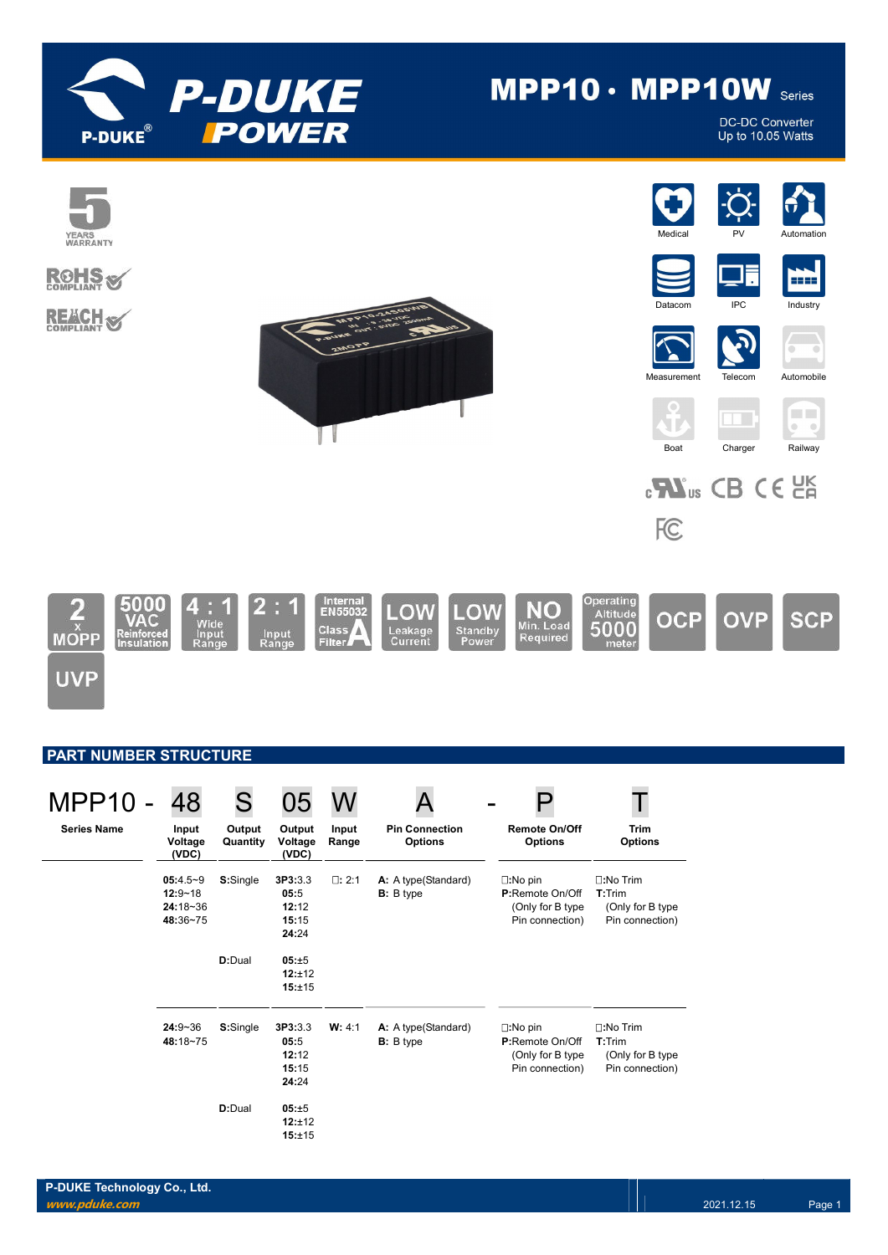

# $MPP10 \cdot MPP10W$  Series

DC-DC Converter Up to 10.05 Watts



| <b>MPP10 -</b>     | 48                                                | S                  | 05                                         |                |                                           |                                                                                     |                                                                     |
|--------------------|---------------------------------------------------|--------------------|--------------------------------------------|----------------|-------------------------------------------|-------------------------------------------------------------------------------------|---------------------------------------------------------------------|
| <b>Series Name</b> | Input<br>Voltage<br>(VDC)                         | Output<br>Quantity | Output<br>Voltage<br>(VDC)                 | Input<br>Range | <b>Pin Connection</b><br><b>Options</b>   | <b>Remote On/Off</b><br><b>Options</b>                                              | <b>Trim</b><br><b>Options</b>                                       |
|                    | $05:4.5-9$<br>$12:9 - 18$<br>24:18~36<br>48:36~75 | S:Single           | 3P3:3.3<br>05:5<br>12:12<br>15:15<br>24:24 | $\square: 2:1$ | A: A type (Standard)<br><b>B</b> : B type | $\square:$ No pin<br>P:Remote On/Off<br>(Only for B type<br>Pin connection)         | $\square:$ No Trim<br>T:Trim<br>(Only for B type<br>Pin connection) |
|                    |                                                   | D:Dual             | 05:±5<br>12:±12<br>15:±15                  |                |                                           |                                                                                     |                                                                     |
|                    | $24:9 - 36$<br>48:18~75                           | S:Single           | 3P3:3.3<br>05:5<br>12:12<br>15:15<br>24:24 | W: 4:1         | A: A type (Standard)<br><b>B</b> : B type | $\square:$ No pin<br><b>P:Remote On/Off</b><br>(Only for B type)<br>Pin connection) | $\square:$ No Trim<br>T:Trim<br>(Only for B type<br>Pin connection) |
|                    |                                                   | D:Dual             | 05:±5<br>12:±12<br>15:±15                  |                |                                           |                                                                                     |                                                                     |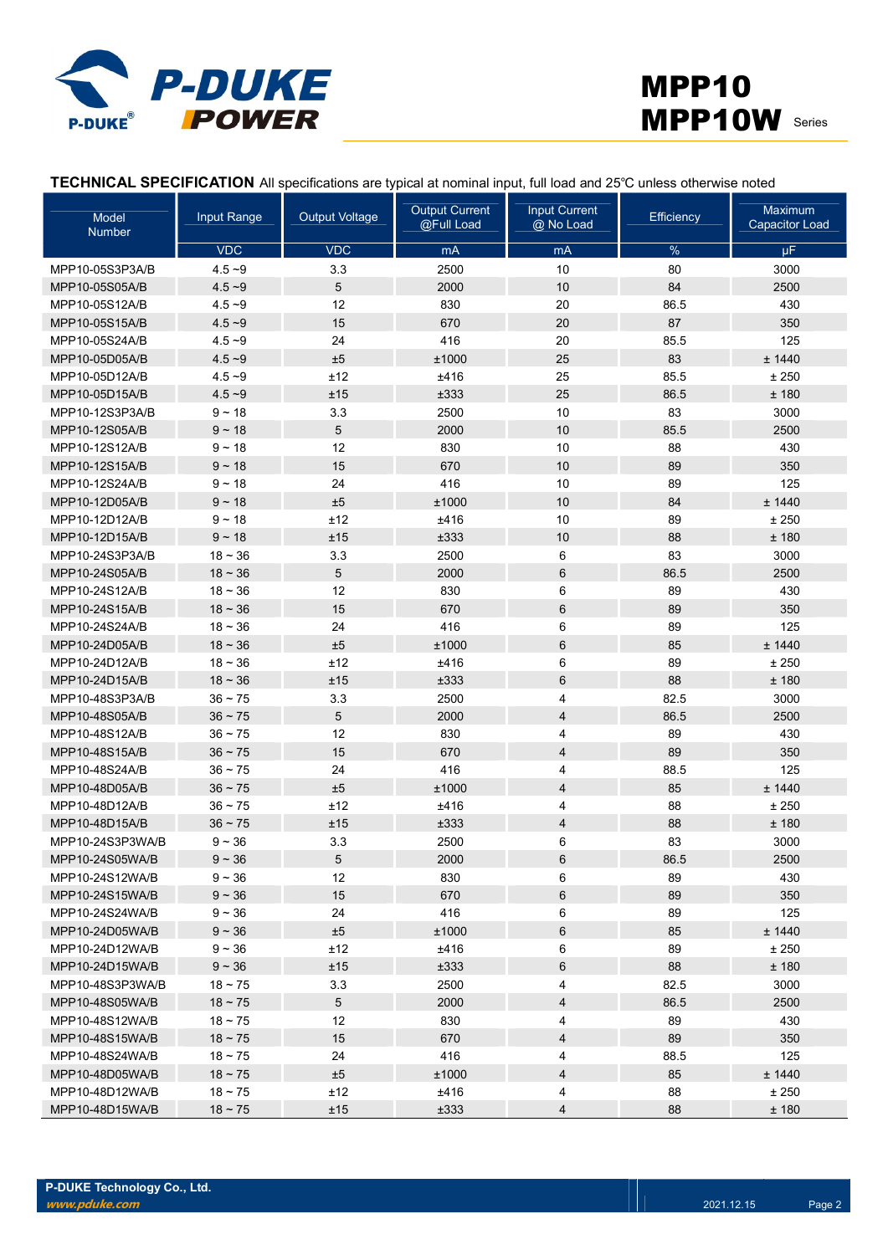



TECHNICAL SPECIFICATION All specifications are typical at nominal input, full load and 25℃ unless otherwise noted

| Model<br>Number  | <b>Input Range</b> | <b>Output Voltage</b> | <b>Output Current</b><br>@Full Load | <b>Input Current</b><br>@ No Load | <b>Efficiency</b> | Maximum<br><b>Capacitor Load</b> |
|------------------|--------------------|-----------------------|-------------------------------------|-----------------------------------|-------------------|----------------------------------|
|                  | <b>VDC</b>         | <b>VDC</b>            | mA                                  | mA                                | $\%$              | μF                               |
| MPP10-05S3P3A/B  | $4.5 - 9$          | 3.3                   | 2500                                | 10                                | 80                | 3000                             |
| MPP10-05S05A/B   | $4.5 - 9$          | 5                     | 2000                                | 10                                | 84                | 2500                             |
| MPP10-05S12A/B   | $4.5 - 9$          | 12                    | 830                                 | 20                                | 86.5              | 430                              |
| MPP10-05S15A/B   | $4.5 - 9$          | 15                    | 670                                 | 20                                | 87                | 350                              |
| MPP10-05S24A/B   | $4.5 - 9$          | 24                    | 416                                 | 20                                | 85.5              | 125                              |
| MPP10-05D05A/B   | $4.5 - 9$          | $\pm 5$               | ±1000                               | 25                                | 83                | ± 1440                           |
| MPP10-05D12A/B   | $4.5 - 9$          | ±12                   | ±416                                | 25                                | 85.5              | ± 250                            |
| MPP10-05D15A/B   | $4.5 - 9$          | ±15                   | ±333                                | 25                                | 86.5              | ±180                             |
| MPP10-12S3P3A/B  | $9 - 18$           | 3.3                   | 2500                                | 10                                | 83                | 3000                             |
| MPP10-12S05A/B   | $9 - 18$           | 5                     | 2000                                | 10                                | 85.5              | 2500                             |
| MPP10-12S12A/B   | $9 - 18$           | 12                    | 830                                 | 10                                | 88                | 430                              |
| MPP10-12S15A/B   | $9 - 18$           | 15                    | 670                                 | 10                                | 89                | 350                              |
| MPP10-12S24A/B   | $9 - 18$           | 24                    | 416                                 | 10                                | 89                | 125                              |
| MPP10-12D05A/B   | $9 - 18$           | $\pm 5$               | ±1000                               | 10                                | 84                | ± 1440                           |
| MPP10-12D12A/B   | $9 - 18$           | ±12                   | ±416                                | 10                                | 89                | ± 250                            |
| MPP10-12D15A/B   | $9 - 18$           | ±15                   | ±333                                | 10                                | 88                | ±180                             |
| MPP10-24S3P3A/B  | $18 - 36$          | 3.3                   | 2500                                | 6                                 | 83                | 3000                             |
| MPP10-24S05A/B   | $18 - 36$          | 5                     | 2000                                | 6                                 | 86.5              | 2500                             |
| MPP10-24S12A/B   | $18 - 36$          | 12                    | 830                                 | 6                                 | 89                | 430                              |
| MPP10-24S15A/B   | $18 - 36$          | 15                    | 670                                 | 6                                 | 89                | 350                              |
| MPP10-24S24A/B   | $18 - 36$          | 24                    | 416                                 | 6                                 | 89                | 125                              |
| MPP10-24D05A/B   | $18 - 36$          | $\pm 5$               | ±1000                               | 6                                 | 85                | ± 1440                           |
| MPP10-24D12A/B   | $18 - 36$          | ±12                   | ±416                                | 6                                 | 89                | ± 250                            |
| MPP10-24D15A/B   | $18 - 36$          | ±15                   | ±333                                | 6                                 | 88                | ±180                             |
| MPP10-48S3P3A/B  | $36 - 75$          | 3.3                   | 2500                                | 4                                 | 82.5              | 3000                             |
| MPP10-48S05A/B   | $36 - 75$          | 5                     | 2000                                | 4                                 | 86.5              | 2500                             |
| MPP10-48S12A/B   | $36 - 75$          | 12                    | 830                                 | 4                                 | 89                | 430                              |
| MPP10-48S15A/B   | $36 - 75$          | 15                    | 670                                 | 4                                 | 89                | 350                              |
| MPP10-48S24A/B   | 36 ~ 75            | 24                    | 416                                 | 4                                 | 88.5              | 125                              |
| MPP10-48D05A/B   | $36 - 75$          | $\pm 5$               | ±1000                               | 4                                 | 85                | ± 1440                           |
| MPP10-48D12A/B   | 36 ~ 75            | ±12                   | ±416                                | 4                                 | 88                | ± 250                            |
| MPP10-48D15A/B   | $36 - 75$          | ±15                   | ±333                                | 4                                 | 88                | ±180                             |
| MPP10-24S3P3WA/B | $9 - 36$           | 3.3                   | 2500                                | 6                                 | 83                | 3000                             |
| MPP10-24S05WA/B  | $9 - 36$           | 5                     | 2000                                | 6                                 | 86.5              | 2500                             |
| MPP10-24S12WA/B  | $9 - 36$           | 12                    | 830                                 | 6                                 | 89                | 430                              |
| MPP10-24S15WA/B  | $9 - 36$           | 15                    | 670                                 | 6                                 | 89                | 350                              |
| MPP10-24S24WA/B  | $9 - 36$           | 24                    | 416                                 | 6                                 | 89                | 125                              |
| MPP10-24D05WA/B  | $9 - 36$           | ±5                    | ±1000                               | 6                                 | 85                | ± 1440                           |
| MPP10-24D12WA/B  | $9 - 36$           | ±12                   | ±416                                | 6                                 | 89                | ± 250                            |
| MPP10-24D15WA/B  | $9 - 36$           | ±15                   | ±333                                | 6                                 | 88                | ±180                             |
| MPP10-48S3P3WA/B | $18 - 75$          | 3.3                   | 2500                                | 4                                 | 82.5              | 3000                             |
| MPP10-48S05WA/B  | $18 \sim 75$       | $5\phantom{.0}$       | 2000                                | 4                                 | 86.5              | 2500                             |
| MPP10-48S12WA/B  | $18 - 75$          | 12                    | 830                                 | 4                                 | 89                | 430                              |
| MPP10-48S15WA/B  | $18 \sim 75$       | 15                    | 670                                 | 4                                 | 89                | 350                              |
| MPP10-48S24WA/B  | $18 - 75$          | 24                    | 416                                 | 4                                 | 88.5              | 125                              |
| MPP10-48D05WA/B  | $18 \sim 75$       | ±5                    | ±1000                               | 4                                 | 85                | ± 1440                           |
| MPP10-48D12WA/B  | $18 - 75$          | ±12                   | ±416                                | 4                                 | 88                | ± 250                            |
| MPP10-48D15WA/B  | $18 \sim 75$       | ±15                   | ±333                                | 4                                 | 88                | ± 180                            |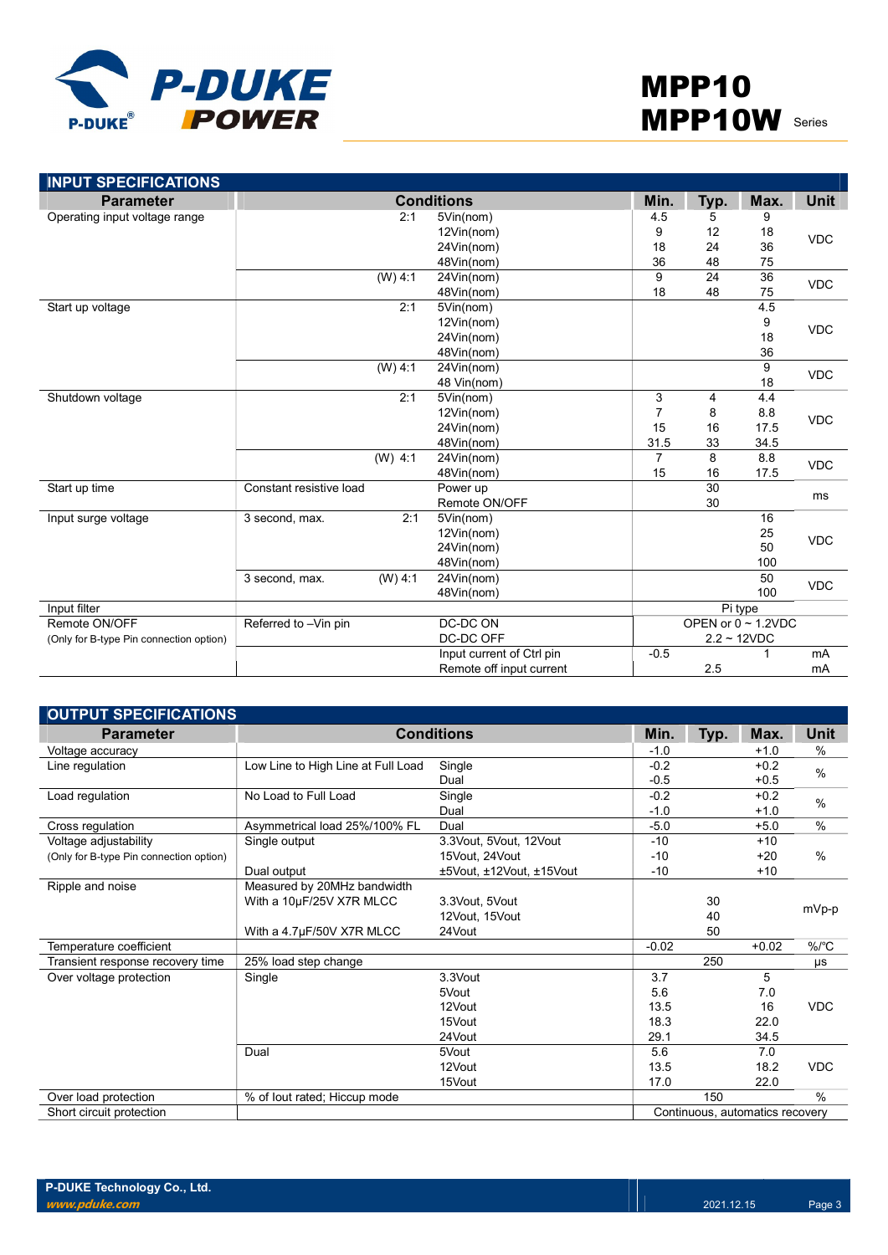

| <b>INPUT SPECIFICATIONS</b>             |                             |                           |                |                |                          |             |  |
|-----------------------------------------|-----------------------------|---------------------------|----------------|----------------|--------------------------|-------------|--|
| <b>Parameter</b>                        |                             | <b>Conditions</b>         | Min.           | Typ.           | Max.                     | <b>Unit</b> |  |
| Operating input voltage range           | 2:1                         | 5Vin(nom)                 | 4.5            | 5              | 9                        |             |  |
|                                         |                             | 12Vin(nom)                | 9              | 12             | 18                       | <b>VDC</b>  |  |
|                                         |                             | 24Vin(nom)                | 18             | 24             | 36                       |             |  |
|                                         |                             | 48Vin(nom)                | 36             | 48             | 75                       |             |  |
|                                         | $(W)$ 4:1                   | 24Vin(nom)                | 9              | 24             | $\overline{36}$          | <b>VDC</b>  |  |
|                                         |                             | 48Vin(nom)                | 18             | 48             | 75                       |             |  |
| Start up voltage                        | 2:1                         | 5Vin(nom)                 |                |                | 4.5                      |             |  |
|                                         |                             | 12Vin(nom)                |                |                | 9                        | <b>VDC</b>  |  |
|                                         |                             | 24Vin(nom)                |                |                | 18                       |             |  |
|                                         |                             | 48Vin(nom)                |                |                | 36                       |             |  |
|                                         | (W) 4:1                     | 24Vin(nom)                |                |                | 9                        | <b>VDC</b>  |  |
|                                         |                             | 48 Vin(nom)               |                |                | 18                       |             |  |
| Shutdown voltage                        | 2:1                         | 5Vin(nom)                 | 3              | $\overline{4}$ | 4.4                      | <b>VDC</b>  |  |
|                                         |                             | 12Vin(nom)                | $\overline{7}$ | 8              | 8.8                      |             |  |
|                                         |                             | 24Vin(nom)                | 15             | 16             | 17.5                     |             |  |
|                                         |                             | 48Vin(nom)                | 31.5           | 33             | 34.5                     |             |  |
|                                         | $(W)$ 4:1                   | 24Vin(nom)                | $\overline{7}$ | 8              | 8.8                      | <b>VDC</b>  |  |
|                                         |                             | 48Vin(nom)                | 15             | 16             | 17.5                     |             |  |
| Start up time                           | Constant resistive load     | Power up                  |                | 30             |                          |             |  |
|                                         |                             | Remote ON/OFF             |                | 30             |                          | ms          |  |
| Input surge voltage                     | 2:1<br>3 second, max.       | 5Vin(nom)                 |                |                | 16                       |             |  |
|                                         |                             | 12Vin(nom)                |                |                | 25                       | <b>VDC</b>  |  |
|                                         |                             | 24Vin(nom)                |                |                | 50                       |             |  |
|                                         |                             | 48Vin(nom)                |                |                | 100                      |             |  |
|                                         | $(W)$ 4:1<br>3 second, max. | 24Vin(nom)                |                |                | 50                       | <b>VDC</b>  |  |
|                                         |                             | 48Vin(nom)                |                |                | 100                      |             |  |
| Input filter                            |                             |                           |                |                | Pi type                  |             |  |
| Remote ON/OFF                           | Referred to -Vin pin        | DC-DC ON                  |                |                | OPEN or $0 \sim 1.2$ VDC |             |  |
| (Only for B-type Pin connection option) |                             | DC-DC OFF                 |                | $2.2 - 12VDC$  |                          |             |  |
|                                         |                             | Input current of Ctrl pin | $-0.5$         |                |                          | mA          |  |
|                                         |                             | Remote off input current  |                | 2.5            |                          | mA          |  |

| <b>OUTPUT SPECIFICATIONS</b>            |                                    |                           |         |      |                                 |               |
|-----------------------------------------|------------------------------------|---------------------------|---------|------|---------------------------------|---------------|
| <b>Parameter</b>                        | <b>Conditions</b>                  |                           | Min.    | Typ. | Max.                            | Unit          |
| Voltage accuracy                        |                                    |                           | $-1.0$  |      | $+1.0$                          | %             |
| Line regulation                         | Low Line to High Line at Full Load | Single                    | $-0.2$  |      | $+0.2$                          | $\frac{0}{0}$ |
|                                         |                                    | Dual                      | $-0.5$  |      | $+0.5$                          |               |
| Load regulation                         | No Load to Full Load               | Single                    | $-0.2$  |      | $+0.2$                          | $\%$          |
|                                         |                                    | Dual                      | $-1.0$  |      | $+1.0$                          |               |
| Cross regulation                        | Asymmetrical load 25%/100% FL      | Dual                      | $-5.0$  |      | $+5.0$                          | $\%$          |
| Voltage adjustability                   | Single output                      | 3.3 Vout. 5 Vout. 12 Vout | $-10$   |      | $+10$                           |               |
| (Only for B-type Pin connection option) |                                    | 15Vout, 24Vout            | $-10$   |      | $+20$                           | $\%$          |
|                                         | Dual output                        | ±5Vout, ±12Vout, ±15Vout  | $-10$   |      | $+10$                           |               |
| Ripple and noise                        | Measured by 20MHz bandwidth        |                           |         |      |                                 |               |
|                                         | With a 10µF/25V X7R MLCC           | 3.3Vout, 5Vout            |         | 30   |                                 |               |
|                                         |                                    | 12Vout, 15Vout            |         | 40   |                                 | mVp-p         |
|                                         | With a 4.7µF/50V X7R MLCC          | 24Vout                    |         | 50   |                                 |               |
| Temperature coefficient                 |                                    |                           | $-0.02$ |      | $+0.02$                         | %/°C          |
| Transient response recovery time        | 25% load step change               |                           |         | 250  |                                 | μs            |
| Over voltage protection                 | Single                             | 3.3Vout                   | 3.7     |      | 5                               |               |
|                                         |                                    | 5Vout                     | 5.6     |      | 7.0                             |               |
|                                         |                                    | 12Vout                    | 13.5    |      | 16                              | <b>VDC</b>    |
|                                         |                                    | 15Vout                    | 18.3    |      | 22.0                            |               |
|                                         |                                    | 24Vout                    | 29.1    |      | 34.5                            |               |
|                                         | Dual                               | 5Vout                     | 5.6     |      | 7.0                             |               |
|                                         |                                    | 12Vout                    | 13.5    |      | 18.2                            | <b>VDC</b>    |
|                                         |                                    | 15Vout                    | 17.0    |      | 22.0                            |               |
| Over load protection                    | % of lout rated; Hiccup mode       |                           |         | 150  |                                 | $\%$          |
| Short circuit protection                |                                    |                           |         |      | Continuous, automatics recovery |               |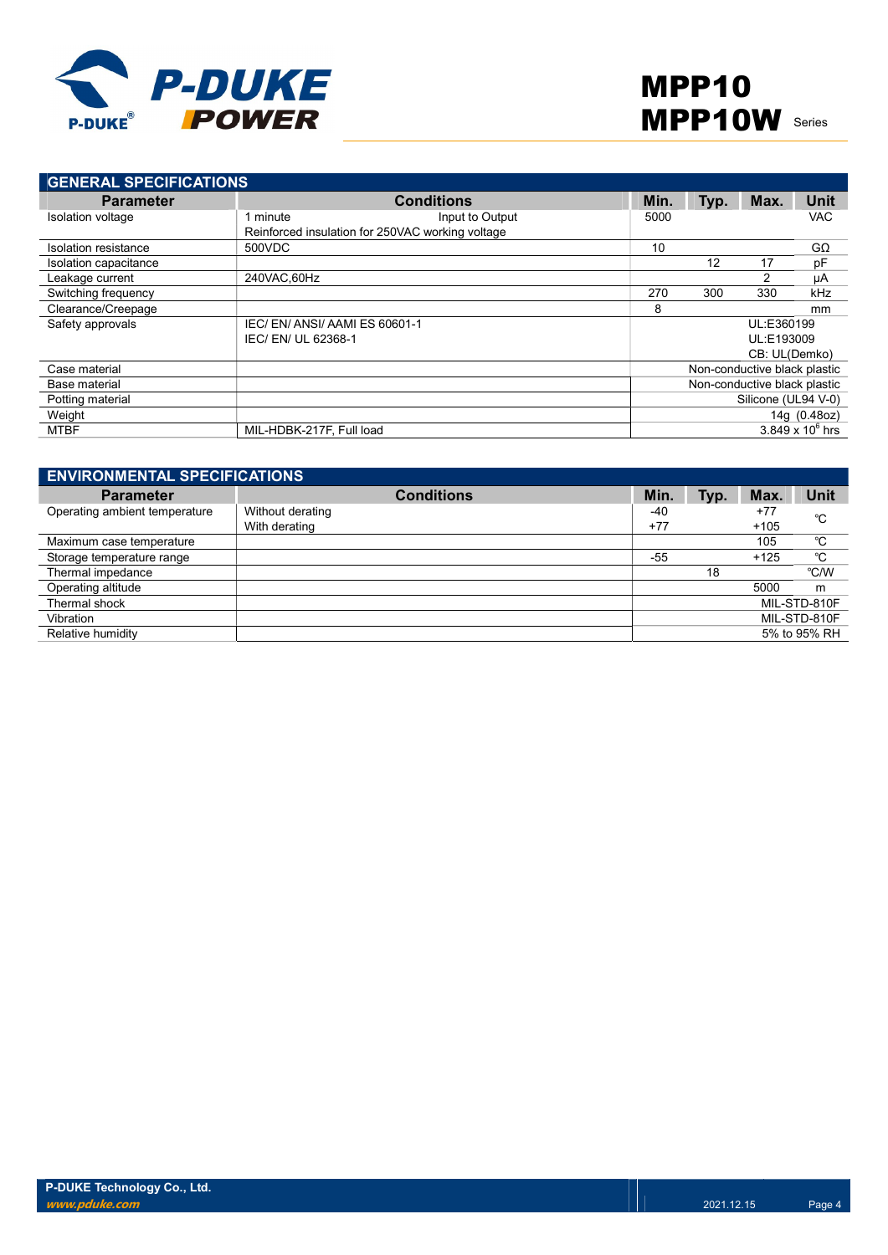

| <b>GENERAL SPECIFICATIONS</b> |                                                  |                 |      |                              |               |                         |
|-------------------------------|--------------------------------------------------|-----------------|------|------------------------------|---------------|-------------------------|
| <b>Parameter</b>              | <b>Conditions</b>                                |                 | Min. | Typ.                         | Max.          | Unit                    |
| Isolation voltage             | minute                                           | Input to Output | 5000 |                              |               | <b>VAC</b>              |
|                               | Reinforced insulation for 250VAC working voltage |                 |      |                              |               |                         |
| Isolation resistance          | 500VDC                                           |                 | 10   |                              |               | $G\Omega$               |
| Isolation capacitance         |                                                  |                 |      | 12                           | 17            | pF                      |
| Leakage current               | 240VAC.60Hz                                      |                 |      |                              | 2             | μA                      |
| Switching frequency           |                                                  |                 | 270  | 300                          | 330           | kHz                     |
| Clearance/Creepage            |                                                  |                 | 8    |                              |               | mm                      |
| Safety approvals              | IEC/EN/ANSI/AAMIES 60601-1                       |                 |      |                              | UL:E360199    |                         |
|                               | IEC/ EN/ UL 62368-1                              |                 |      |                              | UL:E193009    |                         |
|                               |                                                  |                 |      |                              | CB: UL(Demko) |                         |
| Case material                 |                                                  |                 |      | Non-conductive black plastic |               |                         |
| Base material                 |                                                  |                 |      | Non-conductive black plastic |               |                         |
| Potting material              |                                                  |                 |      | Silicone (UL94 V-0)          |               |                         |
| Weight                        |                                                  |                 |      |                              |               | 14g (0.48oz)            |
| <b>MTBF</b>                   | MIL-HDBK-217F, Full load                         |                 |      |                              |               | $3.849 \times 10^6$ hrs |

| <b>ENVIRONMENTAL SPECIFICATIONS</b> |                                   |              |      |                 |              |  |
|-------------------------------------|-----------------------------------|--------------|------|-----------------|--------------|--|
| <b>Parameter</b>                    | <b>Conditions</b>                 | Min.         | Typ. | Max.            | Unit         |  |
| Operating ambient temperature       | Without derating<br>With derating | -40<br>$+77$ |      | $+77$<br>$+105$ | °C           |  |
| Maximum case temperature            |                                   |              |      | 105             | °C           |  |
| Storage temperature range           |                                   | -55          |      | $+125$          | °C           |  |
| Thermal impedance                   |                                   |              | 18   |                 | °C/W         |  |
| Operating altitude                  |                                   |              |      | 5000            | m            |  |
| Thermal shock                       |                                   |              |      |                 | MIL-STD-810F |  |
| Vibration                           |                                   |              |      |                 | MIL-STD-810F |  |
| Relative humidity                   |                                   |              |      |                 | 5% to 95% RH |  |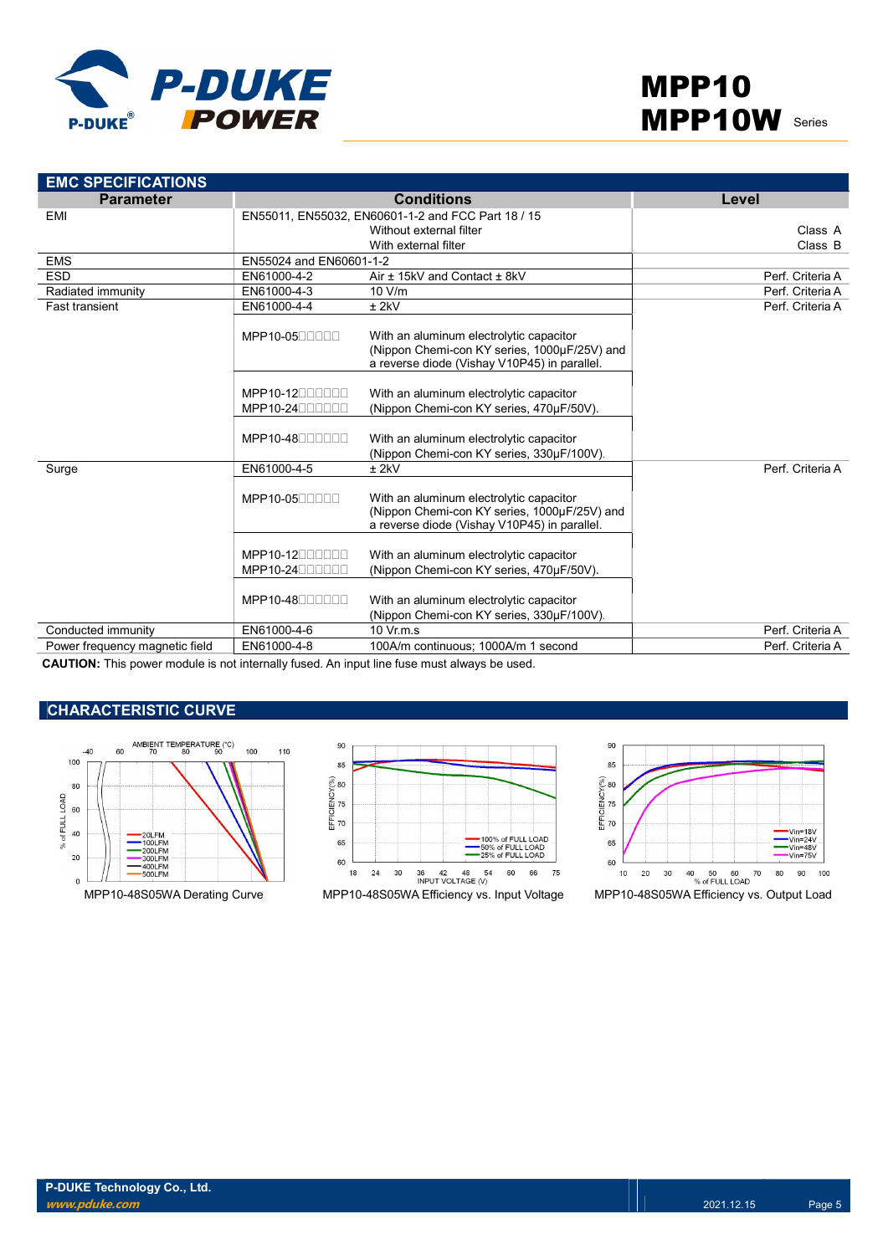

| <b>EMC SPECIFICATIONS</b>                                                                   |                             |                                                                                                                                         |                  |
|---------------------------------------------------------------------------------------------|-----------------------------|-----------------------------------------------------------------------------------------------------------------------------------------|------------------|
| <b>Parameter</b>                                                                            |                             | <b>Conditions</b>                                                                                                                       | Level            |
| EMI                                                                                         |                             | EN55011, EN55032, EN60601-1-2 and FCC Part 18 / 15                                                                                      |                  |
|                                                                                             |                             | Without external filter                                                                                                                 | Class A          |
|                                                                                             |                             | With external filter                                                                                                                    | Class B          |
| <b>EMS</b>                                                                                  | EN55024 and EN60601-1-2     |                                                                                                                                         |                  |
| <b>ESD</b>                                                                                  | EN61000-4-2                 | Air ± 15kV and Contact ± 8kV                                                                                                            | Perf. Criteria A |
| Radiated immunity                                                                           | EN61000-4-3                 | 10 V/m                                                                                                                                  | Perf. Criteria A |
| <b>Fast transient</b>                                                                       | EN61000-4-4                 | $±$ 2kV                                                                                                                                 | Perf. Criteria A |
|                                                                                             | MPP10-0500000               | With an aluminum electrolytic capacitor<br>(Nippon Chemi-con KY series, 1000µF/25V) and<br>a reverse diode (Vishay V10P45) in parallel. |                  |
|                                                                                             | $MPP10-12$<br>MPP10-2400000 | With an aluminum electrolytic capacitor<br>(Nippon Chemi-con KY series, 470µF/50V).                                                     |                  |
|                                                                                             | $MPP10-48$                  | With an aluminum electrolytic capacitor<br>(Nippon Chemi-con KY series, 330µF/100V).                                                    |                  |
| Surge                                                                                       | EN61000-4-5                 | $±$ 2kV                                                                                                                                 | Perf. Criteria A |
|                                                                                             | MPP10-0500000               | With an aluminum electrolytic capacitor<br>(Nippon Chemi-con KY series, 1000µF/25V) and<br>a reverse diode (Vishay V10P45) in parallel. |                  |
|                                                                                             | $MPP10-12$<br>MPP10-2400000 | With an aluminum electrolytic capacitor<br>(Nippon Chemi-con KY series, 470µF/50V).                                                     |                  |
|                                                                                             | MPP10-4800000               | With an aluminum electrolytic capacitor<br>(Nippon Chemi-con KY series, 330µF/100V).                                                    |                  |
| Conducted immunity                                                                          | EN61000-4-6                 | $10 \text{ Vr.m.s}$                                                                                                                     | Perf. Criteria A |
| Power frequency magnetic field                                                              | EN61000-4-8                 | 100A/m continuous: 1000A/m 1 second                                                                                                     | Perf. Criteria A |
| CALITION: This power module is not internally fused. An input line fuse must always be used |                             |                                                                                                                                         |                  |

CAUTION: This power module is not internally fused. An input line fuse must always be used.

## **CHARACTERISTIC CURVE**





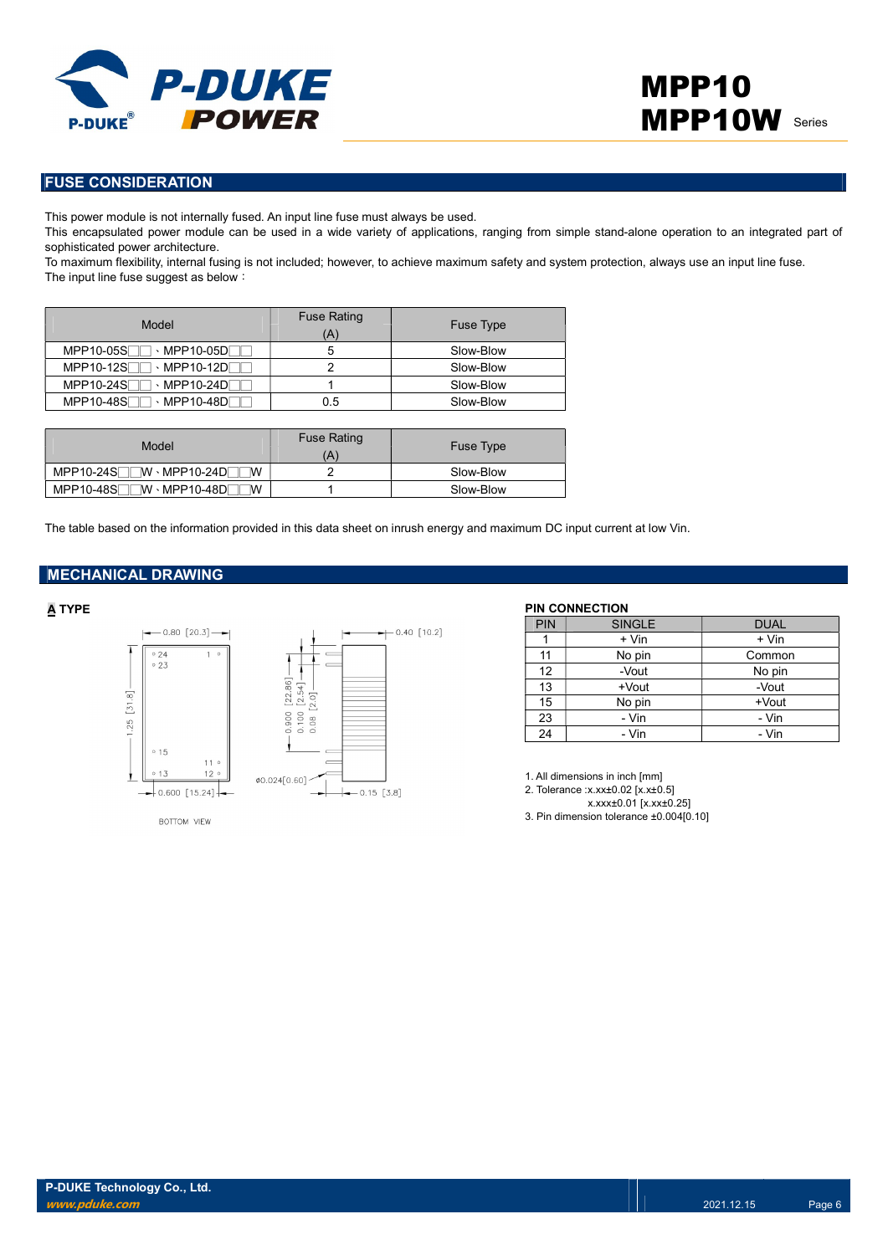

### FUSE CONSIDERATION

This power module is not internally fused. An input line fuse must always be used.

This encapsulated power module can be used in a wide variety of applications, ranging from simple stand-alone operation to an integrated part of sophisticated power architecture.

To maximum flexibility, internal fusing is not included; however, to achieve maximum safety and system protection, always use an input line fuse. The input line fuse suggest as below:

| Model                                                           | <b>Fuse Rating</b><br>Ά | <b>Fuse Type</b> |
|-----------------------------------------------------------------|-------------------------|------------------|
| MPP10-05S<br>→ MPP10-05DL                                       |                         | Slow-Blow        |
| $MPP10-12S$<br>$\cdot$ MPP10-12D $\Gamma$                       |                         | Slow-Blow        |
| MPP10-24S<br>$\cdot$ MPP10-24D                                  |                         | Slow-Blow        |
| <b>MPP10-48SF</b><br>$\cdot$ MPP10-48D $\overline{\phantom{a}}$ | 0.5                     | Slow-Blow        |

| Model                                           | <b>Fuse Rating</b><br>Ά | <b>Fuse Type</b> |
|-------------------------------------------------|-------------------------|------------------|
| $MPP10-24S$ $\neg$ $\neg$ $MPP10-24D$<br>W      |                         | Slow-Blow        |
| $MPP10-48S$<br>$\neg$ W · MPP10-48D $\neg$<br>W |                         | Slow-Blow        |

The table based on the information provided in this data sheet on inrush energy and maximum DC input current at low Vin.

#### MECHANICAL DRAWING



BOTTOM VIEW



A TYPE PIN CONNECTION

| <b>PIN</b> | <b>SINGLE</b> | <b>DUAL</b> |
|------------|---------------|-------------|
|            | + Vin         | + Vin       |
| 11         | No pin        | Common      |
| 12         | -Vout         | No pin      |
| 13         | +Vout         | -Vout       |
| 15         | No pin        | $+$ Vout    |
| 23         | - Vin         | - Vin       |
| 24         | - Vin         | - Vin       |

1. All dimensions in inch [mm]

- 2. Tolerance :x.xx±0.02 [x.x±0.5]
	- x.xxx±0.01 [x.xx±0.25]

3. Pin dimension tolerance ±0.004[0.10]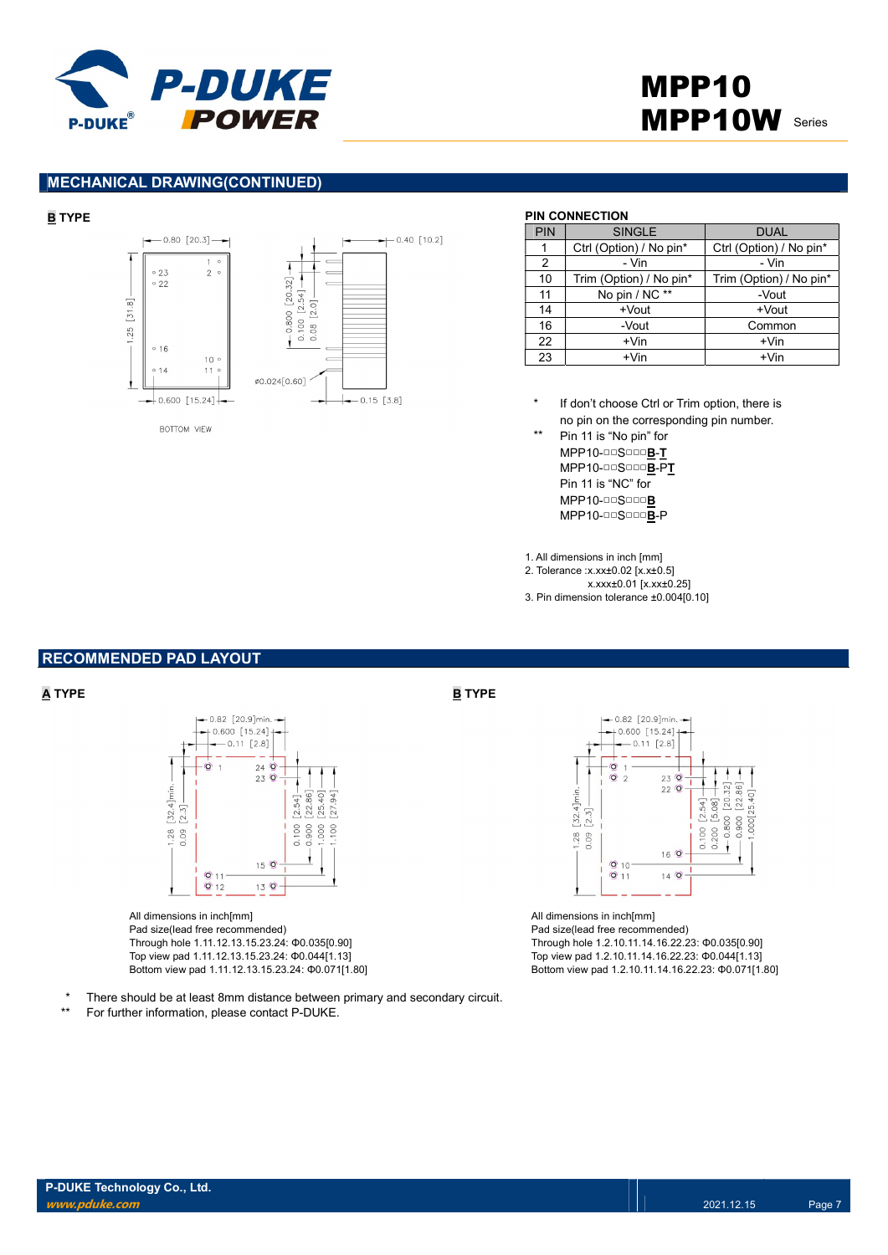



#### MECHANICAL DRAWING(CONTINUED)



#### BOTTOM VIEW

#### B TYPE PIN CONNECTION

| PIN | <b>SINGLE</b>           | <b>DUAL</b>             |
|-----|-------------------------|-------------------------|
|     | Ctrl (Option) / No pin* | Ctrl (Option) / No pin* |
| 2   | - Vin                   | - Vin                   |
| 10  | Trim (Option) / No pin* | Trim (Option) / No pin* |
| 11  | No pin / NC **          | -Vout                   |
| 14  | +Vout                   | +Vout                   |
| 16  | -Vout                   | Common                  |
| 22  | $+V$ in                 | $+V$ in                 |
| 23  | $+V$ in                 | $+V$ in                 |

If don't choose Ctrl or Trim option, there is no pin on the corresponding pin number.

\*\* Pin 11 is "No pin" for MPP10-□□S□□□B-T MPP10-□□S□□□B-PT Pin 11 is "NC" for MPP10-□□S□□□B MPP10-□□S□□□B-P

1. All dimensions in inch [mm]

2. Tolerance :x.xx±0.02 [x.x±0.5]

- x.xxx±0.01 [x.xx±0.25]
- 3. Pin dimension tolerance ±0.004[0.10]

#### RECOMMENDED PAD LAYOUT



All dimensions in inch[mm] Pad size(lead free recommended) Through hole 1.11.12.13.15.23.24: Φ0.035[0.90] Top view pad 1.11.12.13.15.23.24: Φ0.044[1.13] Bottom view pad 1.11.12.13.15.23.24: Φ0.071[1.80]



All dimensions in inch[mm] Pad size(lead free recommended) Through hole 1.2.10.11.14.16.22.23: Φ0.035[0.90] Top view pad 1.2.10.11.14.16.22.23: Φ0.044[1.13] Bottom view pad 1.2.10.11.14.16.22.23: Φ0.071[1.80]

There should be at least 8mm distance between primary and secondary circuit.

\*\* For further information, please contact P-DUKE.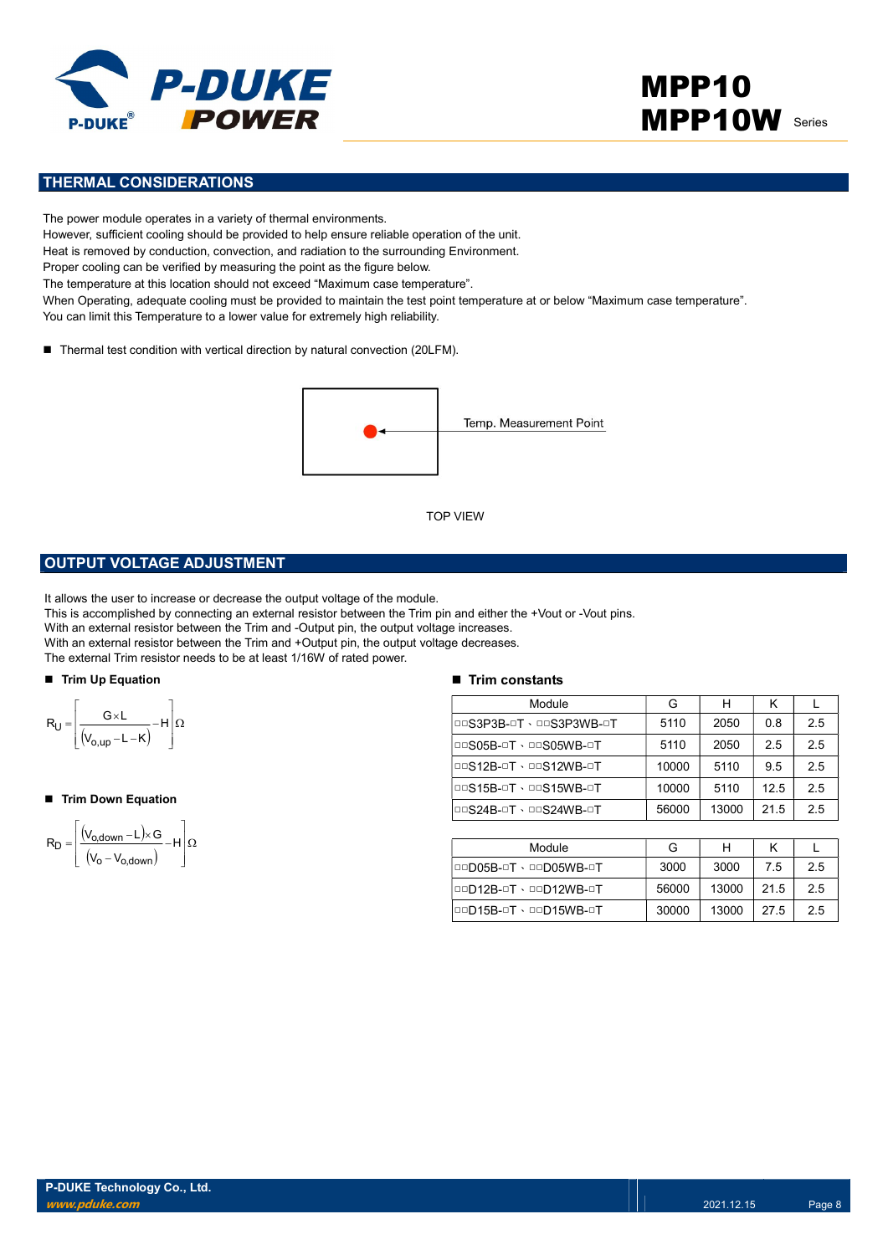

# MPP10 **MPP10W** Series

### THERMAL CONSIDERATIONS

The power module operates in a variety of thermal environments. However, sufficient cooling should be provided to help ensure reliable operation of the unit. Heat is removed by conduction, convection, and radiation to the surrounding Environment. Proper cooling can be verified by measuring the point as the figure below. The temperature at this location should not exceed "Maximum case temperature". When Operating, adequate cooling must be provided to maintain the test point temperature at or below "Maximum case temperature". You can limit this Temperature to a lower value for extremely high reliability.

■ Thermal test condition with vertical direction by natural convection (20LFM).



#### OUTPUT VOLTAGE ADJUSTMENT

It allows the user to increase or decrease the output voltage of the module.

This is accomplished by connecting an external resistor between the Trim pin and either the +Vout or -Vout pins.

With an external resistor between the Trim and -Output pin, the output voltage increases.

With an external resistor between the Trim and +Output pin, the output voltage decreases.

The external Trim resistor needs to be at least 1/16W of rated power.

#### ■ Trim Up Equation



#### ■ Trim Down Equation

$$
R_D=\!\left[\!\!\begin{array}{c} \displaystyle \left(\!V_{o,\text{down}}\!-\!L\right)\!\times\! G\\ \displaystyle \left(\!V_o\!-\!V_{o,\text{down}}\!\right)\end{array}\!\!\!\!-\!H\right]\!\!\varOmega
$$

#### $\blacksquare$  Trim constants

|                                                                                                                                                                                                                                                                                                                                                                                                                                   | <b>TOP VIEW</b>               |       |       |      |              |
|-----------------------------------------------------------------------------------------------------------------------------------------------------------------------------------------------------------------------------------------------------------------------------------------------------------------------------------------------------------------------------------------------------------------------------------|-------------------------------|-------|-------|------|--------------|
| <b>PUT VOLTAGE ADJUSTMENT</b>                                                                                                                                                                                                                                                                                                                                                                                                     |                               |       |       |      |              |
| s the user to increase or decrease the output voltage of the module.<br>accomplished by connecting an external resistor between the Trim pin and either the +Vout or -Vout pins.<br>n external resistor between the Trim and -Output pin, the output voltage increases.<br>1 external resistor between the Trim and +Output pin, the output voltage decreases.<br>ternal Trim resistor needs to be at least 1/16W of rated power. |                               |       |       |      |              |
| n Up Equation                                                                                                                                                                                                                                                                                                                                                                                                                     | $\blacksquare$ Trim constants |       |       |      |              |
|                                                                                                                                                                                                                                                                                                                                                                                                                                   | Module                        | G     | H     | K    | $\mathbf{L}$ |
|                                                                                                                                                                                                                                                                                                                                                                                                                                   | DOS3P3B-OT · DOS3P3WB-OT      | 5110  | 2050  | 0.8  | 2.5          |
| $\frac{G\times L}{(V_{o,up}-L-K)}-H\left \Omega\right $                                                                                                                                                                                                                                                                                                                                                                           | <b>DOS05B-OT · DOS05WB-OT</b> | 5110  | 2050  | 2.5  | 2.5          |
|                                                                                                                                                                                                                                                                                                                                                                                                                                   | <b>DOS12B-OT · DOS12WB-OT</b> | 10000 | 5110  | 9.5  | 2.5          |
| n Down Equation                                                                                                                                                                                                                                                                                                                                                                                                                   | <b>DOS15B-OT · DOS15WB-OT</b> | 10000 | 5110  | 12.5 | 2.5          |
|                                                                                                                                                                                                                                                                                                                                                                                                                                   | <b>DOS24B-OT · DOS24WB-OT</b> | 56000 | 13000 | 21.5 | 2.5          |
| $\frac{(V_{o,\text{down}} - L) \times G}{(V_o - V_{o,\text{down}})} - H\left[\Omega\right]$                                                                                                                                                                                                                                                                                                                                       |                               |       |       |      |              |
|                                                                                                                                                                                                                                                                                                                                                                                                                                   | Module                        | G     | H     | K    | L            |
|                                                                                                                                                                                                                                                                                                                                                                                                                                   | <b>OOD05B-OT · OOD05WB-OT</b> | 3000  | 3000  | 7.5  | 2.5          |
|                                                                                                                                                                                                                                                                                                                                                                                                                                   | <b>OOD12B-OT · OOD12WB-OT</b> | 56000 | 13000 | 21.5 | 2.5          |
|                                                                                                                                                                                                                                                                                                                                                                                                                                   | 00D15B-0T · 00D15WB-0T        | 30000 | 13000 | 27.5 | 2.5          |
|                                                                                                                                                                                                                                                                                                                                                                                                                                   |                               |       |       |      |              |

| Module                 | G     |       |      |    |
|------------------------|-------|-------|------|----|
| 00005B-0T · 00005WB-0T | 3000  | 3000  | 7.5  | 25 |
| 00D12B-0T \ 00D12WB-0T | 56000 | 13000 | 21.5 | 25 |
| 00D15B-0T \ 00D15WB-0T | 30000 | 13000 | 27.5 | 25 |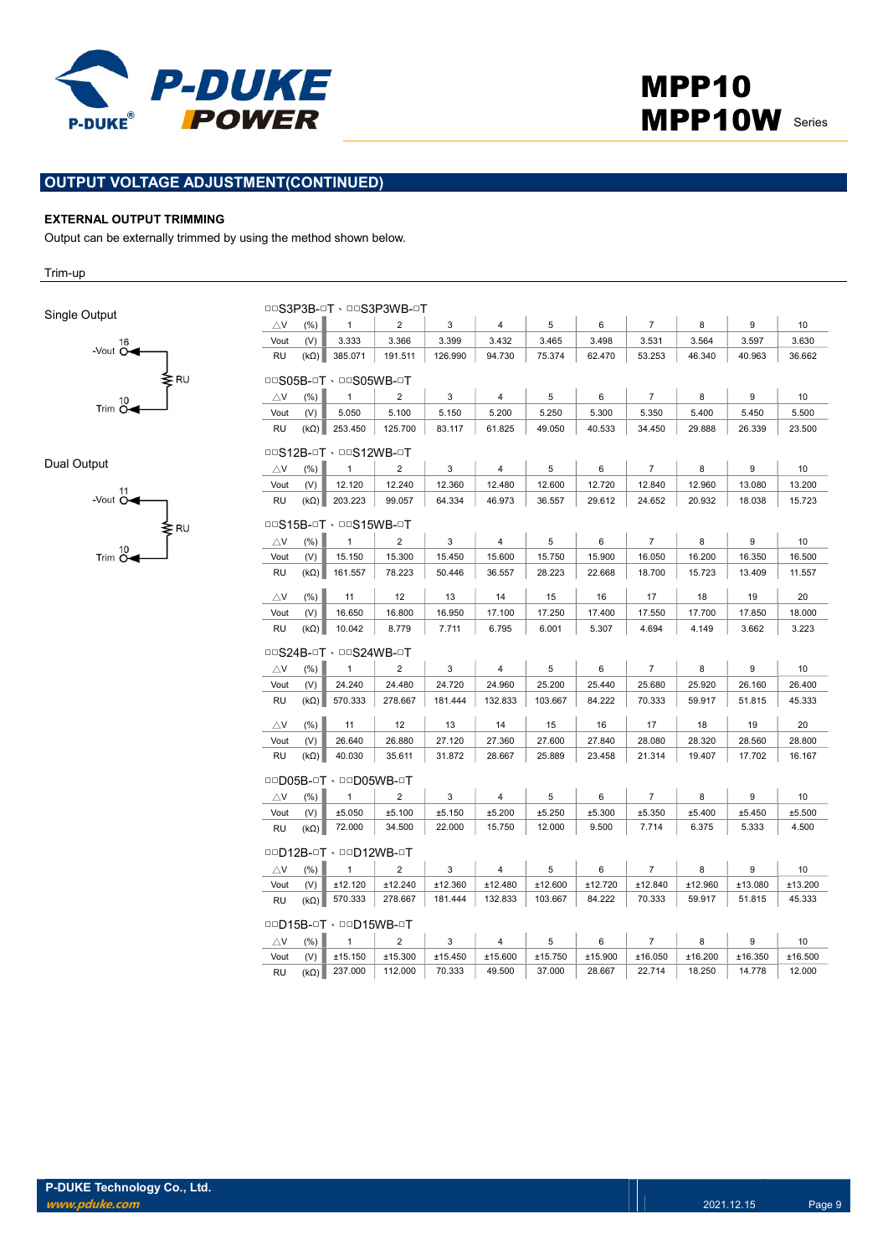

### OUTPUT VOLTAGE ADJUSTMENT(CONTINUED)

#### EXTERNAL OUTPUT TRIMMING

Output can be externally trimmed by using the method shown below.

Trim-up

Single Output



Dual Output



|                        |                      |                               | <b>□□S3P3B-□T、□□S3P3WB-□T</b> |         |                |         |         |                |         |         |                 |
|------------------------|----------------------|-------------------------------|-------------------------------|---------|----------------|---------|---------|----------------|---------|---------|-----------------|
| $\triangle$ V          | (% )                 | $\mathbf{1}$                  | $\overline{2}$                | 3       | $\overline{4}$ | 5       | 6       | $\overline{7}$ | 8       | 9       | 10              |
| Vout                   | (V)                  | 3.333                         | 3.366                         | 3.399   | 3.432          | 3.465   | 3.498   | 3.531          | 3.564   | 3.597   | 3.630           |
| <b>RU</b>              | $(k\Omega)$          | 385.071                       | 191.511                       | 126.990 | 94.730         | 75.374  | 62.470  | 53.253         | 46.340  | 40.963  | 36.662          |
|                        | □□S05B-□T、□□S05WB-□T |                               |                               |         |                |         |         |                |         |         |                 |
| $\triangle$ V          | (% )                 | $\mathbf{1}$                  | 2                             | 3       | 4              | 5       | 6       | $\overline{7}$ | 8       | 9       | 10              |
| Vout                   | (V)                  | 5.050                         | 5.100                         | 5.150   | 5.200          | 5.250   | 5.300   | 5.350          | 5.400   | 5.450   | 5.500           |
| RU                     |                      | $(k\Omega)$ 253.450           | 125.700                       | 83.117  | 61.825         | 49.050  | 40.533  | 34.450         | 29.888  | 26.339  | 23.500          |
|                        |                      | <b>DOS12B-OT · DOS12WB-OT</b> |                               |         |                |         |         |                |         |         |                 |
| $\triangle$ V          | (% )                 | $\mathbf{1}$                  | $\overline{2}$                | 3       | $\overline{4}$ | 5       | 6       | $\overline{7}$ | 8       | 9       | 10 <sup>1</sup> |
| Vout                   | (V)                  | 12.120                        | 12.240                        | 12.360  | 12.480         | 12.600  | 12.720  | 12.840         | 12.960  | 13.080  | 13.200          |
| <b>RU</b>              |                      | $(k\Omega)$ 203.223           | 99.057                        | 64.334  | 46.973         | 36.557  | 29.612  | 24.652         | 20.932  | 18.038  | 15.723          |
|                        |                      | <b>DOS15B-OT · DOS15WB-OT</b> |                               |         |                |         |         |                |         |         |                 |
| $\triangle$ V          | (% )                 | $\mathbf{1}$                  | $\overline{2}$                | 3       | $\overline{4}$ | 5       | 6       | $\overline{7}$ | 8       | 9       | 10 <sup>1</sup> |
| Vout                   | (V)                  | 15.150                        | 15.300                        | 15.450  | 15.600         | 15.750  | 15.900  | 16.050         | 16.200  | 16.350  | 16.500          |
| <b>RU</b>              | $(k\Omega)$          | 161.557                       | 78.223                        | 50.446  | 36.557         | 28.223  | 22.668  | 18.700         | 15.723  | 13.409  | 11.557          |
| $\triangle$ V          | (% )                 | 11                            | 12                            | 13      | 14             | 15      | 16      | 17             | 18      | 19      | 20              |
| Vout                   | (V)                  | 16.650                        | 16.800                        | 16.950  | 17.100         | 17.250  | 17.400  | 17.550         | 17.700  | 17.850  | 18.000          |
| <b>RU</b>              | $(k\Omega)$          | 10.042                        | 8.779                         | 7.711   | 6.795          | 6.001   | 5.307   | 4.694          | 4.149   | 3.662   | 3.223           |
|                        |                      | <b>DOS24B-OT · DOS24WB-OT</b> |                               |         |                |         |         |                |         |         |                 |
| $\triangle$ V          | (%)                  | $\mathbf{1}$                  | $\overline{2}$                | 3       | 4              | 5       | 6       | $\overline{7}$ | 8       | 9       | 10              |
| Vout                   | (V)                  | 24.240                        | 24.480                        | 24.720  | 24.960         | 25.200  | 25.440  | 25.680         | 25.920  | 26.160  | 26.400          |
| <b>RU</b>              | $(k\Omega)$          | 570.333                       | 278.667                       | 181.444 | 132.833        | 103.667 | 84.222  | 70.333         | 59.917  | 51.815  | 45.333          |
| $\triangle$ V          | (% )                 | 11                            | 12                            | 13      | 14             | 15      | 16      | 17             | 18      | 19      | 20              |
| Vout                   | (V)                  | 26.640                        | 26.880                        | 27.120  | 27.360         | 27.600  | 27.840  | 28.080         | 28.320  | 28.560  | 28.800          |
| <b>RU</b>              | $(k\Omega)$          | 40.030                        | 35.611                        | 31.872  | 28.667         | 25.889  | 23.458  | 21.314         | 19.407  | 17.702  | 16.167          |
|                        |                      | <b>QQD05B-QT · QQD05WB-QT</b> |                               |         |                |         |         |                |         |         |                 |
| $\triangle$ V          | (%)                  | $\mathbf{1}$                  | $\overline{2}$                | 3       | 4              | 5       | 6       | $\overline{7}$ | 8       | 9       | 10              |
| Vout                   | (V)                  | ±5.050                        | ±5.100                        | ±5.150  | ±5.200         | ±5.250  | ±5.300  | ±5.350         | ±5.400  | ±5.450  | ±5.500          |
| <b>RU</b>              | $(k\Omega)$          | 72.000                        | 34.500                        | 22.000  | 15.750         | 12.000  | 9.500   | 7.714          | 6.375   | 5.333   | 4.500           |
|                        |                      | 00D12B-0T · 00D12WB-0T        |                               |         |                |         |         |                |         |         |                 |
| $\triangle$ V          | (% )                 | $\mathbf{1}$                  | $\overline{2}$                | 3       | 4              | 5       | 6       | $\overline{7}$ | 8       | 9       | 10              |
| Vout                   | (V)                  | ±12.120                       | ±12.240                       | ±12.360 | ±12.480        | ±12.600 | ±12.720 | ±12.840        | ±12.960 | ±13.080 | ±13.200         |
| <b>RU</b>              | $(k\Omega)$          | 570.333                       | 278.667                       | 181.444 | 132.833        | 103.667 | 84.222  | 70.333         | 59.917  | 51.815  | 45.333          |
| 00D15B-0T · 00D15WB-0T |                      |                               |                               |         |                |         |         |                |         |         |                 |
| $\triangle$ V          | (%)                  | $\mathbf{1}$                  | $\overline{2}$                | 3       | 4              | 5       | 6       | $\overline{7}$ | 8       | 9       | 10              |
| Vout                   | (V)                  | ±15.150                       | ±15.300                       | ±15.450 | ±15.600        | ±15.750 | ±15.900 | ±16.050        | ±16.200 | ±16.350 | ±16.500         |
| <b>RU</b>              | $(k\Omega)$          | 237.000                       | 112.000                       | 70.333  | 49.500         | 37.000  | 28.667  | 22.714         | 18.250  | 14.778  | 12.000          |